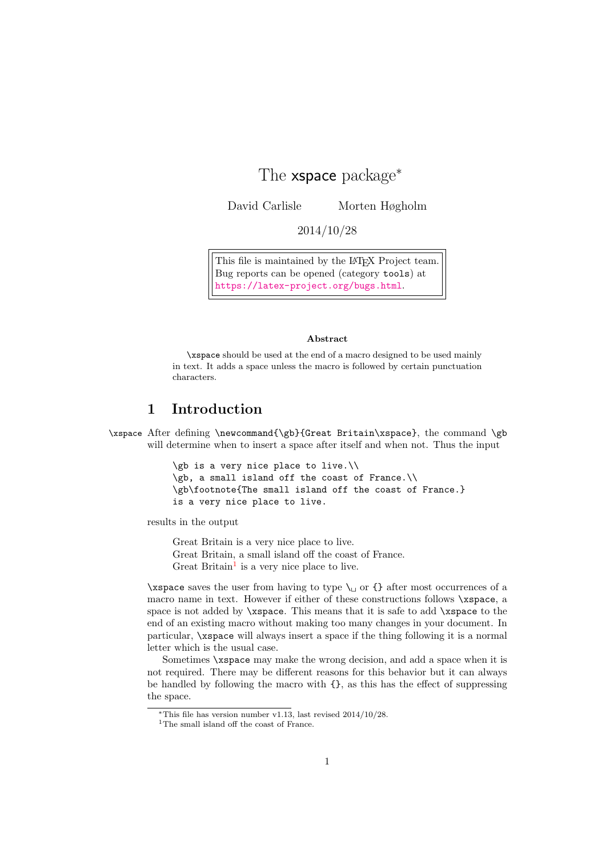# The **xspace** package<sup>\*</sup>

David Carlisle Morten Høgholm

2014/10/28

This file is maintained by the L<sup>AT</sup>EX Project team. Bug reports can be opened (category tools) at <https://latex-project.org/bugs.html>.

#### Abstract

\xspace should be used at the end of a macro designed to be used mainly in text. It adds a space unless the macro is followed by certain punctuation characters.

## 1 Introduction

\xspace After defining \newcommand{\gb}{Great Britain\xspace}, the command \gb will determine when to insert a space after itself and when not. Thus the input

```
\gb is a very nice place to live.\\
\gb, a small island off the coast of France.\\
\gb\footnote{The small island off the coast of France.}
is a very nice place to live.
```
results in the output

Great Britain is a very nice place to live. Great Britain, a small island off the coast of France. Great Britain<sup>[1](#page-0-0)</sup> is a very nice place to live.

\xspace saves the user from having to type  $\_{\perp}$  or {} after most occurrences of a macro name in text. However if either of these constructions follows \xspace, a space is not added by \xspace. This means that it is safe to add \xspace to the end of an existing macro without making too many changes in your document. In particular, \xspace will always insert a space if the thing following it is a normal letter which is the usual case.

Sometimes \xspace may make the wrong decision, and add a space when it is not required. There may be different reasons for this behavior but it can always be handled by following the macro with {}, as this has the effect of suppressing the space.

<sup>\*</sup>This file has version number v1.13, last revised  $2014/10/28$ .

<span id="page-0-0"></span><sup>1</sup>The small island off the coast of France.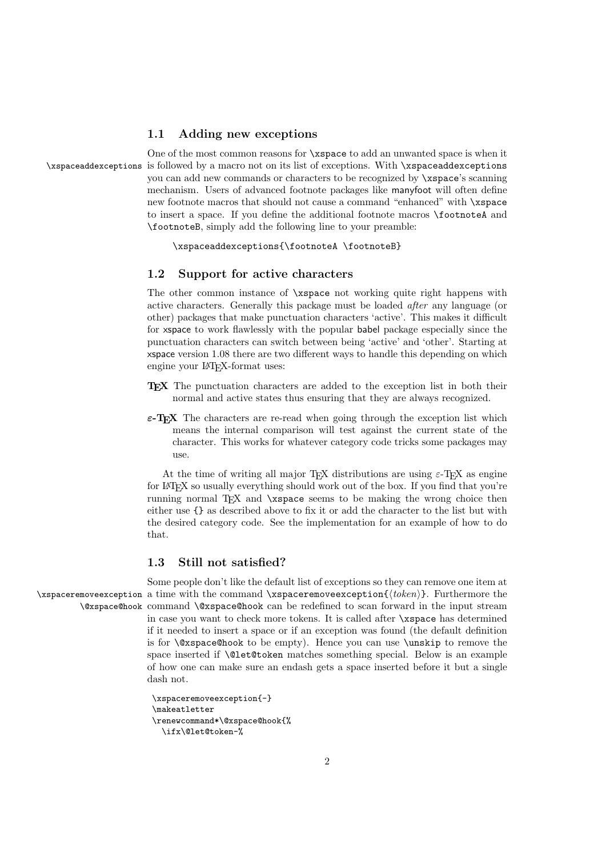### 1.1 Adding new exceptions

One of the most common reasons for \xspace to add an unwanted space is when it \xspaceaddexceptions is followed by a macro not on its list of exceptions. With \xspaceaddexceptions you can add new commands or characters to be recognized by \xspace's scanning mechanism. Users of advanced footnote packages like manyfoot will often define new footnote macros that should not cause a command "enhanced" with \xspace to insert a space. If you define the additional footnote macros \footnoteA and \footnoteB, simply add the following line to your preamble:

\xspaceaddexceptions{\footnoteA \footnoteB}

#### 1.2 Support for active characters

The other common instance of \xspace not working quite right happens with active characters. Generally this package must be loaded after any language (or other) packages that make punctuation characters 'active'. This makes it difficult for xspace to work flawlessly with the popular babel package especially since the punctuation characters can switch between being 'active' and 'other'. Starting at xspace version 1.08 there are two different ways to handle this depending on which engine your LATEX-format uses:

- TEX The punctuation characters are added to the exception list in both their normal and active states thus ensuring that they are always recognized.
- $\epsilon$ -T<sub>E</sub>X The characters are re-read when going through the exception list which means the internal comparison will test against the current state of the character. This works for whatever category code tricks some packages may use.

At the time of writing all major T<sub>E</sub>X distributions are using  $\varepsilon$ -T<sub>E</sub>X as engine for LAT<sub>EX</sub> so usually everything should work out of the box. If you find that you're running normal T<sub>EX</sub> and \xspace seems to be making the wrong choice then either use {} as described above to fix it or add the character to the list but with the desired category code. See the implementation for an example of how to do that.

#### 1.3 Still not satisfied?

Some people don't like the default list of exceptions so they can remove one item at \xspaceremoveexception a time with the command \xspaceremoveexception{⟨token⟩}. Furthermore the \@xspace@hook command \@xspace@hook can be redefined to scan forward in the input stream in case you want to check more tokens. It is called after \xspace has determined if it needed to insert a space or if an exception was found (the default definition is for \@xspace@hook to be empty). Hence you can use \unskip to remove the space inserted if \@let@token matches something special. Below is an example of how one can make sure an endash gets a space inserted before it but a single dash not.

```
\xspaceremoveexception{-}
\makeatletter
\renewcommand*\@xspace@hook{%
  \ifx\@let@token-%
```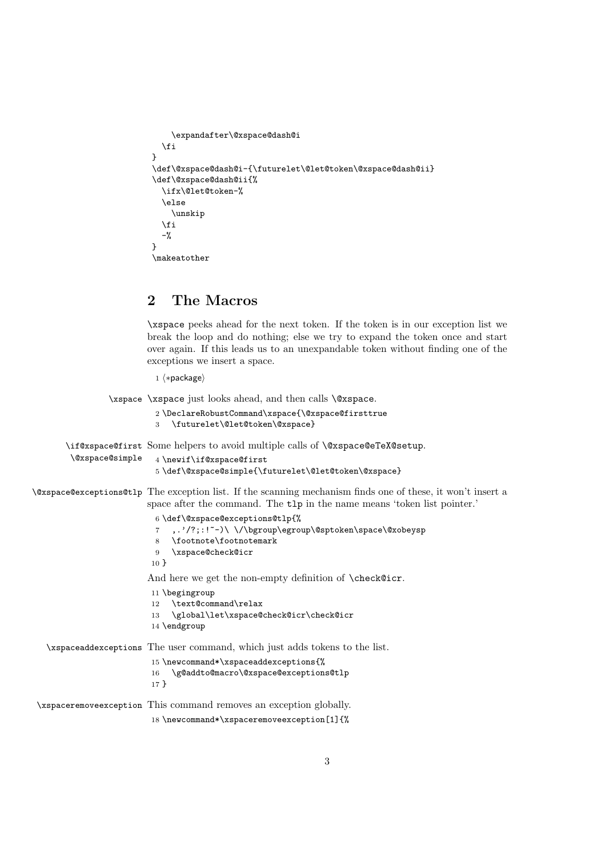```
\expandafter\@xspace@dash@i
  \fi
}
\def\@xspace@dash@i-{\futurelet\@let@token\@xspace@dash@ii}
\def\@xspace@dash@ii{%
  \ifx\@let@token-%
  \else
    \unskip
  \fi
  -%
}
\makeatother
```
### 2 The Macros

\xspace peeks ahead for the next token. If the token is in our exception list we break the loop and do nothing; else we try to expand the token once and start over again. If this leads us to an unexpandable token without finding one of the exceptions we insert a space.

1 ⟨∗package⟩

\xspace \xspace just looks ahead, and then calls \@xspace. 2 \DeclareRobustCommand\xspace{\@xspace@firsttrue 3 \futurelet\@let@token\@xspace} \if@xspace@first Some helpers to avoid multiple calls of \@xspace@eTeX@setup. \@xspace@simple 4 \newif\if@xspace@first 5 \def\@xspace@simple{\futurelet\@let@token\@xspace} \@xspace@exceptions@tlp The exception list. If the scanning mechanism finds one of these, it won't insert a space after the command. The tlp in the name means 'token list pointer.' 6 \def\@xspace@exceptions@tlp{% 7 ,.'/?;:!~-)\ \/\bgroup\egroup\@sptoken\space\@xobeysp 8 \footnote\footnotemark 9 \xspace@check@icr 10 } And here we get the non-empty definition of \check@icr. 11 \begingroup 12 \text@command\relax 13 \global\let\xspace@check@icr\check@icr 14 \endgroup \xspaceaddexceptions The user command, which just adds tokens to the list. 15 \newcommand\*\xspaceaddexceptions{% 16 \g@addto@macro\@xspace@exceptions@tlp 17 } \xspaceremoveexception This command removes an exception globally. 18 \newcommand\*\xspaceremoveexception[1]{%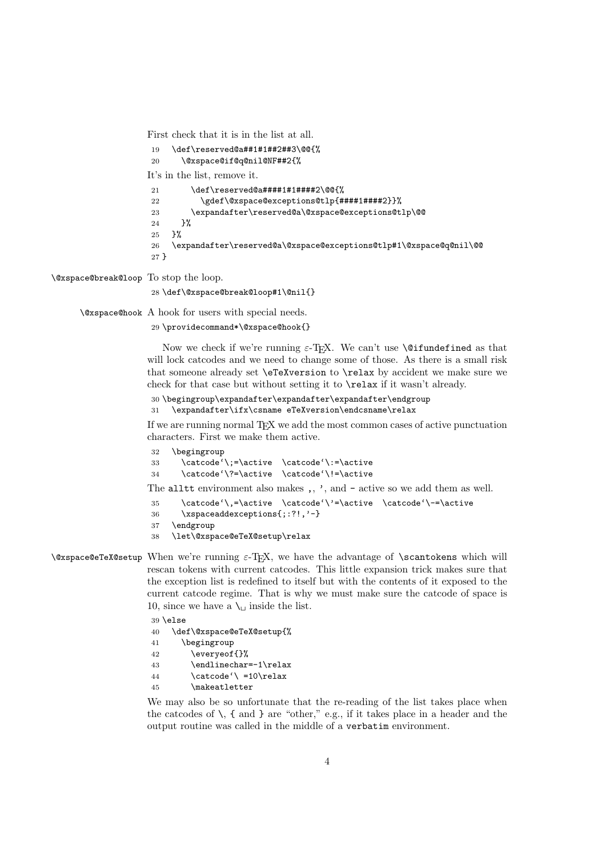First check that it is in the list at all.

```
19 \def\reserved@a##1#1##2##3\@@{%
20 \@xspace@if@q@nil@NF##2{%
It's in the list, remove it.
21 \def\reserved@a####1#1#####2\@@{%
22 \gdef\@xspace@exceptions@tlp{####1####2}}%
23 \expandafter\reserved@a\@xspace@exceptions@tlp\@@
24 }%
25 }%
26 \expandafter\reserved@a\@xspace@exceptions@tlp#1\@xspace@q@nil\@@
27 }
```
\@xspace@break@loop To stop the loop.

28 \def\@xspace@break@loop#1\@nil{}

\@xspace@hook A hook for users with special needs.

29 \providecommand\*\@xspace@hook{}

Now we check if we're running  $\varepsilon$ -T<sub>E</sub>X. We can't use **\@ifundefined** as that will lock catcodes and we need to change some of those. As there is a small risk that someone already set \eTeXversion to \relax by accident we make sure we check for that case but without setting it to \relax if it wasn't already.

```
30 \begingroup\expandafter\expandafter\expandafter\endgroup
31 \expandafter\ifx\csname eTeXversion\endcsname\relax
```
If we are running normal TEX we add the most common cases of active punctuation characters. First we make them active.

```
32 \begingroup
33 \catcode'\;=\active \catcode'\:=\active
34 \catcode'\?=\active \catcode'\!=\active
```
The alltt environment also makes ,, ', and - active so we add them as well.

```
35 \catcode'\,=\active \catcode'\'=\active \catcode'\-=\active
36 \xspaceaddexceptions{;:?!,'-}
37 \endgroup
38 \let\@xspace@eTeX@setup\relax
```
 $\&\$ xspace@eTeX@setup When we're running  $\varepsilon$ -TFX, we have the advantage of  $\simeq$  Scantokens which will rescan tokens with current catcodes. This little expansion trick makes sure that the exception list is redefined to itself but with the contents of it exposed to the current catcode regime. That is why we must make sure the catcode of space is 10, since we have a  $\setminus$  inside the list.

```
39 \else
40 \def\@xspace@eTeX@setup{%
41 \begingroup
42 \everyeof{}%
43 \endlinechar=-1\relax
44 \catcode' \ =10\relax45 \makeatletter
```
We may also be so unfortunate that the re-reading of the list takes place when the catcodes of  $\setminus$ , { and } are "other," e.g., if it takes place in a header and the output routine was called in the middle of a verbatim environment.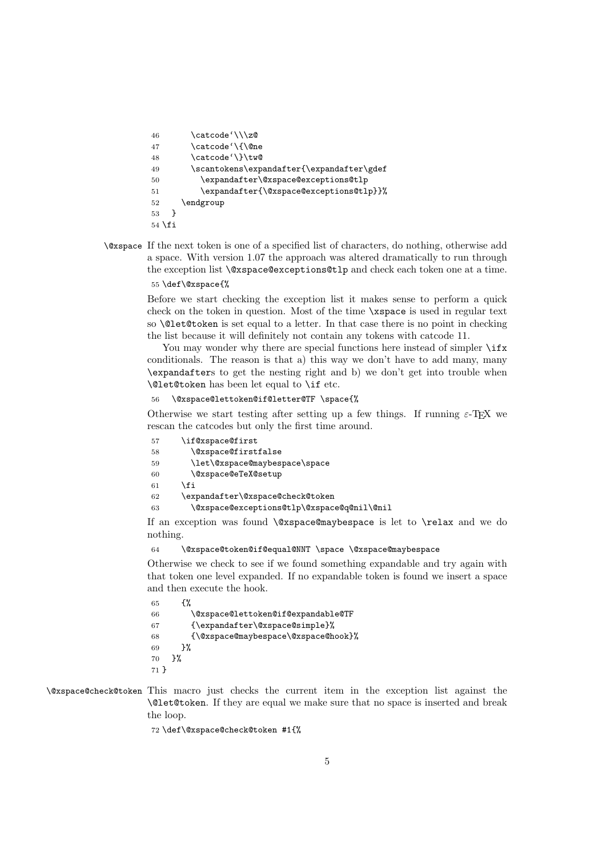```
46 \quad \text{catcode'}\backslash\text{z@}47 \catcode'\{\@ne
48 \catcode'\}\tw@
49 \scantokens\expandafter{\expandafter\gdef
50 \expandafter\@xspace@exceptions@tlp
51 \expandafter{\@xspace@exceptions@tlp}}%
52 \endgroup
53 }
54 \fi
```
\@xspace If the next token is one of a specified list of characters, do nothing, otherwise add a space. With version 1.07 the approach was altered dramatically to run through the exception list \@xspace@exceptions@tlp and check each token one at a time. 55 \def\@xspace{%

> Before we start checking the exception list it makes sense to perform a quick check on the token in question. Most of the time \xspace is used in regular text so \@let@token is set equal to a letter. In that case there is no point in checking the list because it will definitely not contain any tokens with catcode 11.

> You may wonder why there are special functions here instead of simpler  $\iota$ ifx conditionals. The reason is that a) this way we don't have to add many, many \expandafters to get the nesting right and b) we don't get into trouble when \@let@token has been let equal to \if etc.

```
56 \@xspace@lettoken@if@letter@TF \space{%
```
Otherwise we start testing after setting up a few things. If running  $\varepsilon$ -T<sub>E</sub>X we rescan the catcodes but only the first time around.

| 57 | \if@xspace@first                           |
|----|--------------------------------------------|
| 58 | \@xspace@firstfalse                        |
| 59 | \let\@xspace@maybespace\space              |
| 60 | \@xspace@eTeX@setup                        |
| 61 | \fi                                        |
| 62 | \expandafter\@xspace@check@token           |
| 63 | \@xspace@exceptions@tlp\@xspace@q@nil\@nil |

If an exception was found  $\&$ space@maybespace is let to  $\relax{\text{real}}$  and we do nothing.

```
64 \@xspace@token@if@equal@NNT \space \@xspace@maybespace
```
Otherwise we check to see if we found something expandable and try again with that token one level expanded. If no expandable token is found we insert a space and then execute the hook.

```
65 {%
66 \@xspace@lettoken@if@expandable@TF
67 {\expandafter\@xspace@simple}%
68 {\@xspace@maybespace\@xspace@hook}%
69 }%
70 }%
71 }
```
\@xspace@check@token This macro just checks the current item in the exception list against the \@let@token. If they are equal we make sure that no space is inserted and break the loop.

72 \def\@xspace@check@token #1{%